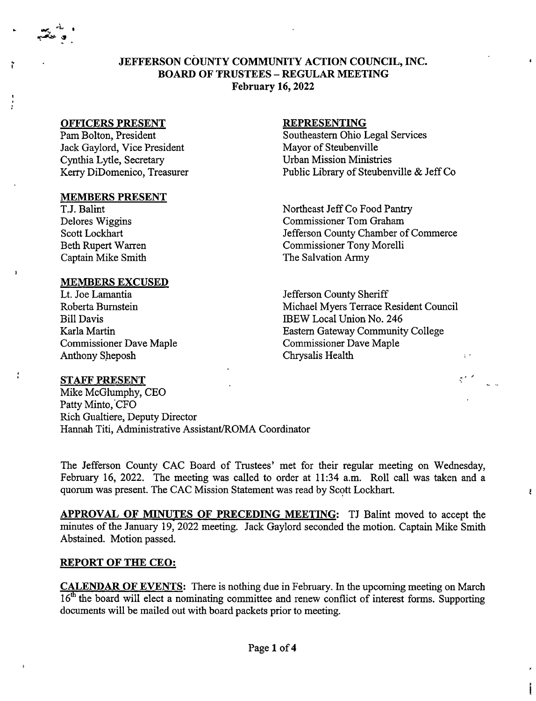JEFFERSON COUNTY COMMUNITY ACTION COUNCIL, INC. BOARD OF TRUSTEES -REGULAR MEETING February 16,2022

### OFFICERS PRESENT

ĩ

 $\mathbf{I}$ 

Pam Bolton, President Jack Gaylord, Vice President Cynthia Lytle, Secretary Kerry DiDomenico, Treasurer

#### MEMBERS PRESENT

T.J. Balint Delores Wiggins Scott Lockhart Beth Rupert Warren Captain Mike Smith

### MEMBERS EXCUSED

Lt. Joe Lamantia Roberta Bumstein Bill Davis Karla Martin Commissioner Dave Maple Anthony Sheposh

#### REPRESENTING

Southeastern Ohio Legal Services Mayor of Steubenville Urban Mission Ministries Public Library of Steubenville & Jeff Co

Northeast Jeff Co Food Pantry Commissioner Tom Graham Jefferson County Chamber of Commerce Commissioner Tony Morelli The Salvation Army

Jefferson County Sheriff Michael Myers Terrace Resident Council IBEW Local Union No. 246 Eastern Gateway Community College Commissioner Dave Maple Chrysalis Health

 $\pm$   $\pm$ 

Į.

### STAFF PRESENT

Mike McGlumphy, CEO Patty Minto, CFO Rich Gualtiere, Deputy Director Hannah Titi, Administrative Assistant/ROMA Coordinator

The Jefferson County CAC Board of Trustees' met for their regular meeting on Wednesday, February 16, 2022. The meeting was called to order at 11:34 a.m. Roll call was taken and a quorum was present. The CAC Mission Statement was read by Scott Lockhart.

APPROVAL OF MINUTES OF PRECEDING MEETING: TJ Balint moved to accept the minutes of the January 19, 2022 meeting. Jack Gaylord seconded the motion. Captain Mike Smith Abstained. Motion passed.

### REPORT OF THE CEO:

CALENDAR OF EVENTS: There is nothing due in February. In the upcoming meeting on March 16<sup>th</sup> the board will elect a nominating committee and renew conflict of interest forms. Supporting documents will be mailed out with board packets prior to meeting.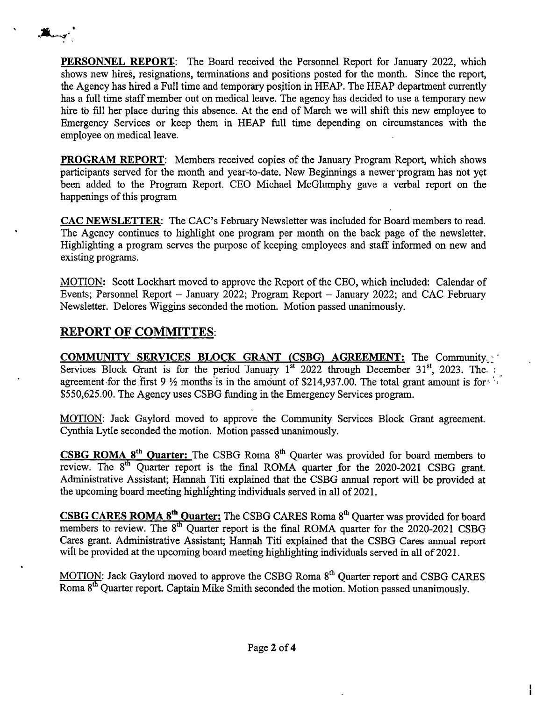PERSONNEL REPORT: The Board received the Personnel Report for January 2022, which shows new hires, resignations, terminations and positions posted for the month. Since the report, the Agency has hired a Full time and temporary position in HEAP. The HEAP department currently has a full time staff member out on medical leave. The agency has decided to use a temporary new hire to fill her place during this absence. At the end of March we will shift this new employee to Emergency Services or keep them in HEAP full time depending on circumstances with the employee on medical leave.

PROGRAM REPORT: Members received copies of the January Program Report, which shows participants served for the month and year-to-date. New Beginnings a newer program has not yet been added to the Program Report. CEO Michael McGlumphy gave a verbal report on the happenings of this program

CAC NEWSLETTER: The CAC's February Newsletter was included for Board members to read. The Agency continues to highlight one program per month on the back page of the newsletter. Highlighting a program serves the purpose of keeping employees and staff informed on new and existing programs.

MOTION: Scott Lockhart moved to approve the Report of the CEO, which included: Calendar of Events; Personnel Report - January 2022; Program Report - January 2022; and CAC February Newsletter. Delores Wiggins seconded the motion. Motion passed unanimously.

# **REPORT OF COMMUTES:**

**Alangri** 

COMMUNITY SERVICES BLOCK GRANT (CSBG) AGREEMENT: The Community Services Block Grant is for the period January 1<sup>st</sup> 2022 through December 31<sup>st</sup>, 2023. The. agreement for the first 9  $\frac{1}{2}$  months is in the amount of \$214,937.00. The total grant amount is for  $\cdots$ \$550,625.00. The Agency uses CSBG funding in the Emergency Services program.

MOTION: Jack Gaylord moved to approve the Community Services Block Grant agreement. Cynthia Lytle seconded the motion. Motion passed unanimously.

CSBG ROMA 8<sup>th</sup> Quarter: The CSBG Roma 8<sup>th</sup> Quarter was provided for board members to review. The  $8<sup>th</sup>$  Quarter report is the final ROMA quarter for the 2020-2021 CSBG grant. Administrative Assistant; Hannah Titi explained that the CSBG annual report will be provided at the upcoming board meeting highlighting individuals served in all of 2021.

CSBG CARES ROMA 8<sup>th</sup> Quarter: The CSBG CARES Roma 8<sup>th</sup> Quarter was provided for board members to review. The  $8<sup>th</sup>$  Quarter report is the final ROMA quarter for the 2020-2021 CSBG Cares grant. Administrative Assistant; Hannah Titi explained that the CSBG Cares annual report will be provided at the upcoming board meeting highlighting individuals served in all of 2021.

MOTION: Jack Gaylord moved to approve the CSBG Roma 8<sup>th</sup> Quarter report and CSBG CARES Roma 8<sup>th</sup> Quarter report. Captain Mike Smith seconded the motion. Motion passed unanimously.

ł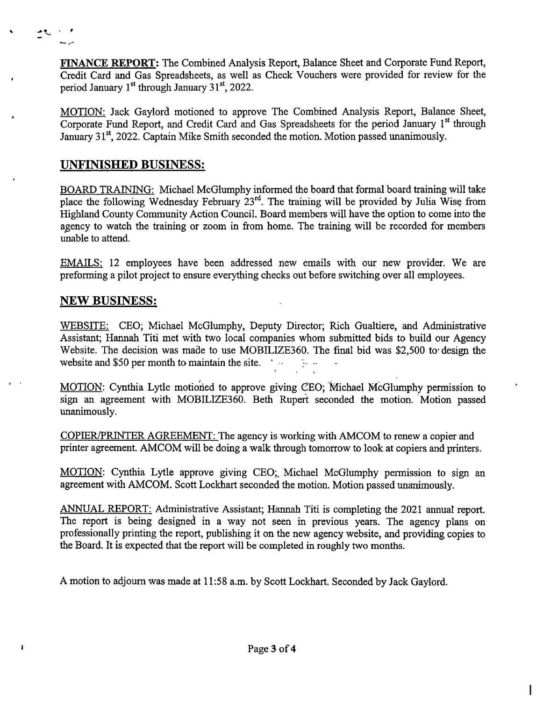FINANCE REPORT: The Combined Analysis Report, Balance Sheet and Corporate Fund Report, Credit Card and Gas Spreadsheets, as well as Check Vouchers were provided for review for the period January 1<sup>st</sup> through January 31<sup>st</sup>, 2022.

MOTION: Jack Gaylord motioned to approve The Combined Analysis Report, Balance Sheet, Corporate Fund Report, and Credit Card and Gas Spreadsheets for the period January 1<sup>st</sup> through January 31<sup>st</sup>, 2022. Captain Mike Smith seconded the motion. Motion passed unanimously.

# **UNFINISHED BUSINESS:**

土气

BOARD TRAINING: Michael McGlumphy informed the board that formal board training will take place the following Wednesday February  $23^{rd}$ . The training will be provided by Julia Wise from Highland County Community Action Council. Board members will have the option to come into the agency to watch the training or zoom in from home. The training will be recorded for members unable to attend.

EMAILS: 12 employees have been addressed new emails with our new provider. We are preforming a pilot project to ensure everything checks out before switching over all employees.

# **NEW BUSINESS:**

WEBSITE: CEO; Michael McGlumphy, Deputy Director; Rich Gualtiere, and Administrative Assistant; Hannah Titi met with two local companies whom submitted bids to build our Agency Website. The decision was made to use MOBILIZE360. The final bid was \$2,500 to' design the website and \$50 per month to maintain the site. '  $\cdots$  -

MOTION: Cynthia Lytle motioned to approve giving CEO; Michael McGlumphy permission to sign an agreement with MOBILIZE360. Beth Rupert seconded the motion. Motion passed unanimously.

COPIER/PRINTER AGREEMENT: The agency is working with AMCOM to renew a copier and printer agreement. AMCOM will be doing a walk through tomorrow to look at copiers and printers.

MOTION: Cynthia Lytle approve giving CEO;, Michael McGlumphy permission to sign an agreement with AMCOM. Scott Lockhart seconded the motion. Motion passed unanimously.

ANNUAL REPORT: Administrative Assistant; Hannah Titi is completing the 2021 annual report. The report is being designed in a way not seen in previous years. The agency plans on professionally printing the report, publishing it on the new agency website, and providing copies to the Board. It is expected that the report will be completed in roughly two months.

A motion to adjourn was made at 11:58 a.m. by Scott Lockhart. Seconded by Jack Gaylord.

I